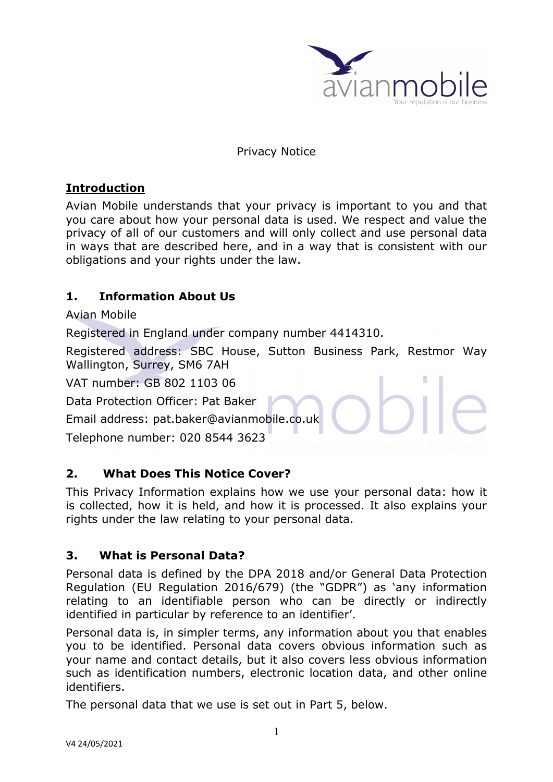

#### Privacy Notice

# **Introduction**

Avian Mobile understands that your privacy is important to you and that you care about how your personal data is used. We respect and value the privacy of all of our customers and will only collect and use personal data in ways that are described here, and in a way that is consistent with our obligations and your rights under the law.

## **1. Information About Us**

Avian Mobile

Registered in England under company number 4414310.

Registered address: SBC House, Sutton Business Park, Restmor Way Wallington, Surrey, SM6 7AH

VAT number: GB 802 1103 06

Data Protection Officer: Pat Baker

Email address: pat.baker@avianmobile.co.uk

Telephone number: 020 8544 3623

### **2. What Does This Notice Cover?**

This Privacy Information explains how we use your personal data: how it is collected, how it is held, and how it is processed. It also explains your rights under the law relating to your personal data.

### **3. What is Personal Data?**

Personal data is defined by the DPA 2018 and/or General Data Protection Regulation (EU Regulation 2016/679) (the "GDPR") as 'any information relating to an identifiable person who can be directly or indirectly identified in particular by reference to an identifier'.

Personal data is, in simpler terms, any information about you that enables you to be identified. Personal data covers obvious information such as your name and contact details, but it also covers less obvious information such as identification numbers, electronic location data, and other online identifiers.

The personal data that we use is set out in Part 5, below.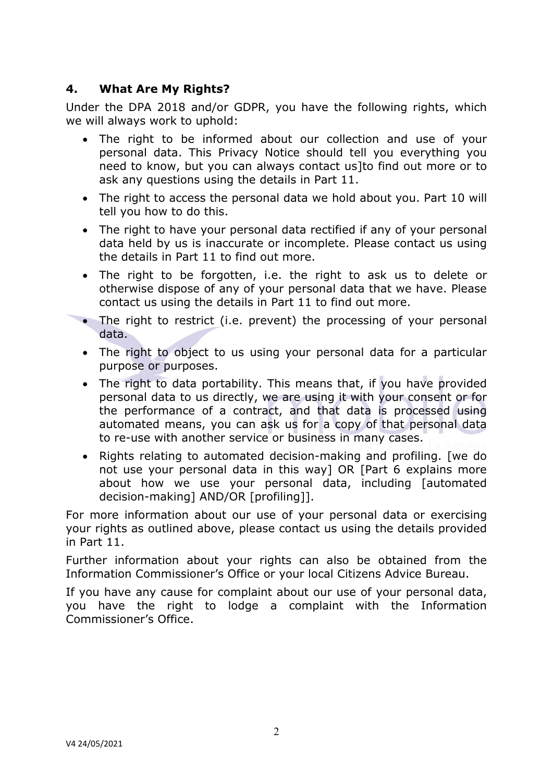## **4. What Are My Rights?**

Under the DPA 2018 and/or GDPR, you have the following rights, which we will always work to uphold:

- The right to be informed about our collection and use of your personal data. This Privacy Notice should tell you everything you need to know, but you can always contact us]to find out more or to ask any questions using the details in Part 11.
- The right to access the personal data we hold about you. Part 10 will tell you how to do this.
- The right to have your personal data rectified if any of your personal data held by us is inaccurate or incomplete. Please contact us using the details in Part 11 to find out more.
- The right to be forgotten, i.e. the right to ask us to delete or otherwise dispose of any of your personal data that we have. Please contact us using the details in Part 11 to find out more.
- The right to restrict (i.e. prevent) the processing of your personal data.
- The right to object to us using your personal data for a particular purpose or purposes.
- The right to data portability. This means that, if you have provided personal data to us directly, we are using it with your consent or for the performance of a contract, and that data is processed using automated means, you can ask us for a copy of that personal data to re-use with another service or business in many cases.
- Rights relating to automated decision-making and profiling. [we do not use your personal data in this way] OR [Part 6 explains more about how we use your personal data, including [automated decision-making] AND/OR [profiling]].

For more information about our use of your personal data or exercising your rights as outlined above, please contact us using the details provided in Part 11.

Further information about your rights can also be obtained from the Information Commissioner's Office or your local Citizens Advice Bureau.

If you have any cause for complaint about our use of your personal data, you have the right to lodge a complaint with the Information Commissioner's Office.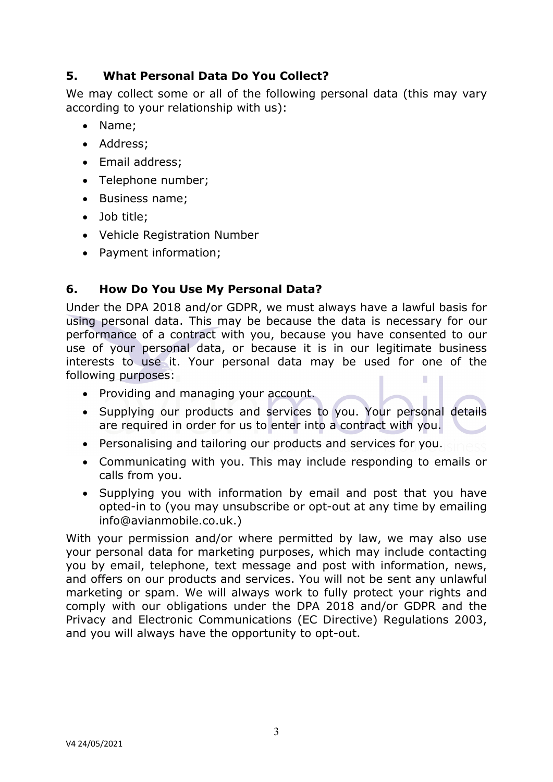# **5. What Personal Data Do You Collect?**

We may collect some or all of the following personal data (this may vary according to your relationship with us):

- Name:
- Address:
- Email address:
- Telephone number;
- Business name:
- Job title:
- Vehicle Registration Number
- Payment information;

### **6. How Do You Use My Personal Data?**

Under the DPA 2018 and/or GDPR, we must always have a lawful basis for using personal data. This may be because the data is necessary for our performance of a contract with you, because you have consented to our use of your personal data, or because it is in our legitimate business interests to use it. Your personal data may be used for one of the following purposes: г

- Providing and managing your account.
- Supplying our products and services to you. Your personal details are required in order for us to enter into a contract with you.
- Personalising and tailoring our products and services for you.
- Communicating with you. This may include responding to emails or calls from you.
- Supplying you with information by email and post that you have opted-in to (you may unsubscribe or opt-out at any time by emailing info@avianmobile.co.uk.)

With your permission and/or where permitted by law, we may also use your personal data for marketing purposes, which may include contacting you by email, telephone, text message and post with information, news, and offers on our products and services. You will not be sent any unlawful marketing or spam. We will always work to fully protect your rights and comply with our obligations under the DPA 2018 and/or GDPR and the Privacy and Electronic Communications (EC Directive) Regulations 2003, and you will always have the opportunity to opt-out.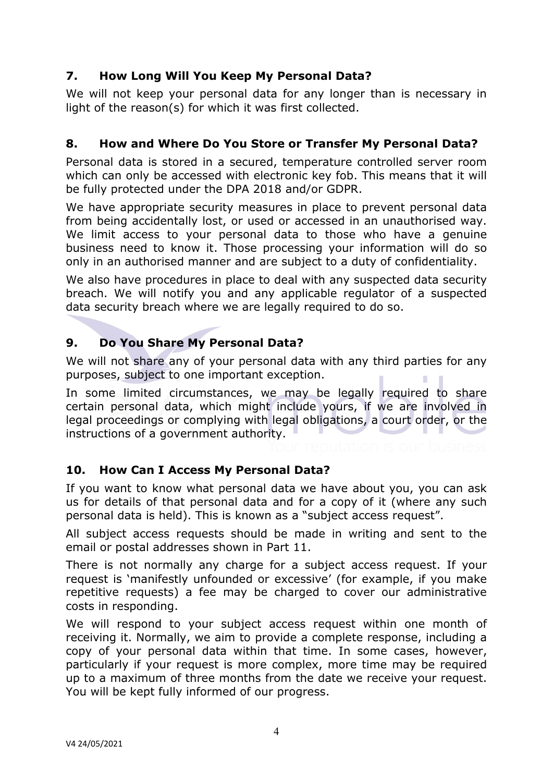# **7. How Long Will You Keep My Personal Data?**

We will not keep your personal data for any longer than is necessary in light of the reason(s) for which it was first collected.

#### **8. How and Where Do You Store or Transfer My Personal Data?**

Personal data is stored in a secured, temperature controlled server room which can only be accessed with electronic key fob. This means that it will be fully protected under the DPA 2018 and/or GDPR.

We have appropriate security measures in place to prevent personal data from being accidentally lost, or used or accessed in an unauthorised way. We limit access to your personal data to those who have a genuine business need to know it. Those processing your information will do so only in an authorised manner and are subject to a duty of confidentiality.

We also have procedures in place to deal with any suspected data security breach. We will notify you and any applicable regulator of a suspected data security breach where we are legally required to do so.

## **9. Do You Share My Personal Data?**

We will not share any of your personal data with any third parties for any purposes, subject to one important exception.

In some limited circumstances, we may be legally required to share certain personal data, which might include yours, if we are involved in legal proceedings or complying with legal obligations, a court order, or the instructions of a government authority.

### **10. How Can I Access My Personal Data?**

If you want to know what personal data we have about you, you can ask us for details of that personal data and for a copy of it (where any such personal data is held). This is known as a "subject access request".

All subject access requests should be made in writing and sent to the email or postal addresses shown in Part 11.

There is not normally any charge for a subject access request. If your request is 'manifestly unfounded or excessive' (for example, if you make repetitive requests) a fee may be charged to cover our administrative costs in responding.

We will respond to your subject access request within one month of receiving it. Normally, we aim to provide a complete response, including a copy of your personal data within that time. In some cases, however, particularly if your request is more complex, more time may be required up to a maximum of three months from the date we receive your request. You will be kept fully informed of our progress.